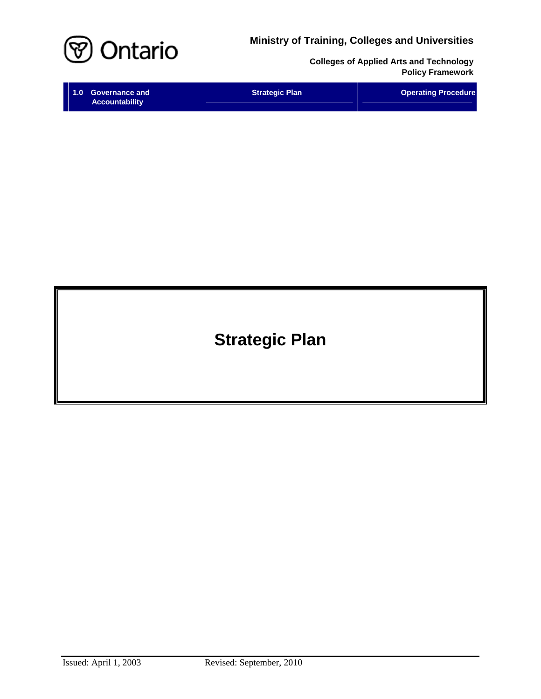**Ministry of Training, Colleges and Universities**



**Colleges of Applied Arts and Technology Policy Framework** 

| 1.0 Governance and    | <b>Strategic Plan</b> | <b>Operating Procedure</b> |
|-----------------------|-----------------------|----------------------------|
| <b>Accountability</b> |                       |                            |

**Strategic Plan**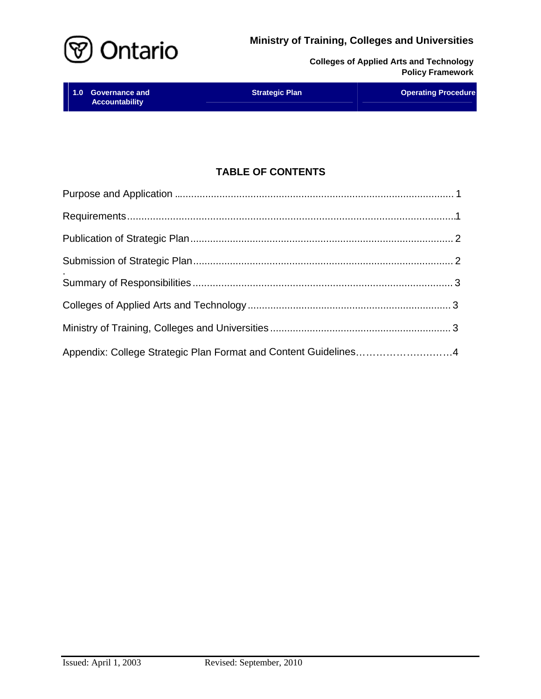



| 1.0 Governance and    | <b>Strategic Plan</b> | <b>Operating Procedure</b> |
|-----------------------|-----------------------|----------------------------|
| <b>Accountability</b> |                       |                            |

# **TABLE OF CONTENTS**

| Appendix: College Strategic Plan Format and Content Guidelines4 |  |
|-----------------------------------------------------------------|--|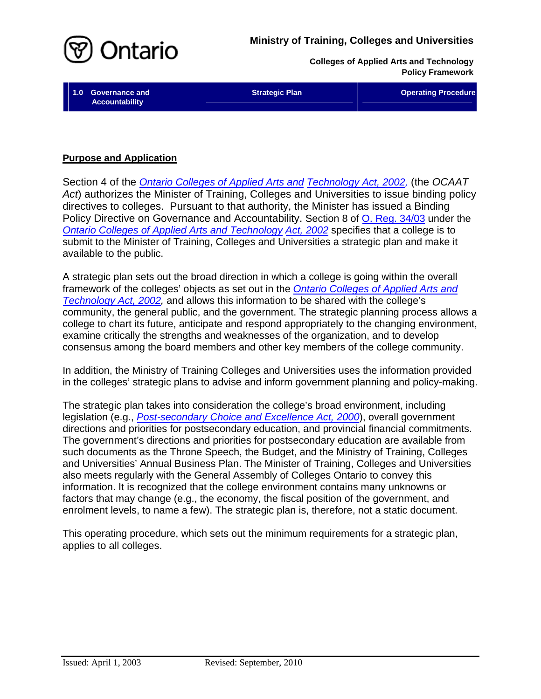

**Accountability** 

**1.0 Governance and Community Community Community Strategic Plan Community Community Community Community Community** 

# **Purpose and Application**

Section 4 of the *[Ontario Colleges of Applied Arts](http://www.e-laws.gov.on.ca/html/statutes/english/elaws_statutes_02o08f_e.htm) and [Technology Act, 2002,](http://www.e-laws.gov.on.ca/html/statutes/english/elaws_statutes_02o08f_e.htm)* (the *OCAAT Act*) authorizes the Minister of Training, Colleges and Universities to issue binding policy directives to colleges. Pursuant to that authority, the Minister has issued a Binding Policy Directive on Governance and Accountability. Section 8 of O. Reg. [34/03 under](http://www.e-laws.gov.on.ca/html/regs/english/elaws_regs_030034_e.htm) the *[Ontario Colleges of](http://www.e-laws.gov.on.ca/html/statutes/english/elaws_statutes_02o08f_e.htm) Applied Arts and Technology [Act, 2002](http://www.e-laws.gov.on.ca/html/statutes/english/elaws_statutes_02o08f_e.htm)* specifies that a college is to submit to the Minister of Training, Colleges and Universities a strategic plan and make it available to the public.

A strategic plan sets out the broad direction in which a college is going within the overall framework of the colleges' objects as set out in the *[Ontario Colleges of Applied Arts](http://www.e-laws.gov.on.ca/html/statutes/english/elaws_statutes_02o08f_e.htm) and [Technology](http://www.e-laws.gov.on.ca/html/statutes/english/elaws_statutes_02o08f_e.htm) Act, 2002,* and allows this information to be shared with the college's community, the general public, and the government. The strategic planning process allows a college to chart its future, anticipate and respond appropriately to the changing environment, examine critically the strengths and weaknesses of the organization, and to develop consensus among the board members and other key members of the college community.

In addition, the Ministry of Training Colleges and Universities uses the information provided in the colleges' strategic plans to advise and inform government planning and policy-making.

The strategic plan takes into consideration the college's broad environment, including legislation (e.g., *[Post-secondary Choice and Excellence Act, 2000](http://www.e-laws.gov.on.ca/html/statutes/english/elaws_statutes_00p36_e.htm)*), overall government directions and priorities for postsecondary education, and provincial financial commitments. The government's directions and priorities for postsecondary education are available from such documents as the Throne Speech, the Budget, and the Ministry of Training, Colleges and Universities' Annual Business Plan. The Minister of Training, Colleges and Universities also meets regularly with the General Assembly of Colleges Ontario to convey this information. It is recognized that the college environment contains many unknowns or factors that may change (e.g., the economy, the fiscal position of the government, and enrolment levels, to name a few). The strategic plan is, therefore, not a static document.

This operating procedure, which sets out the minimum requirements for a strategic plan, applies to all colleges.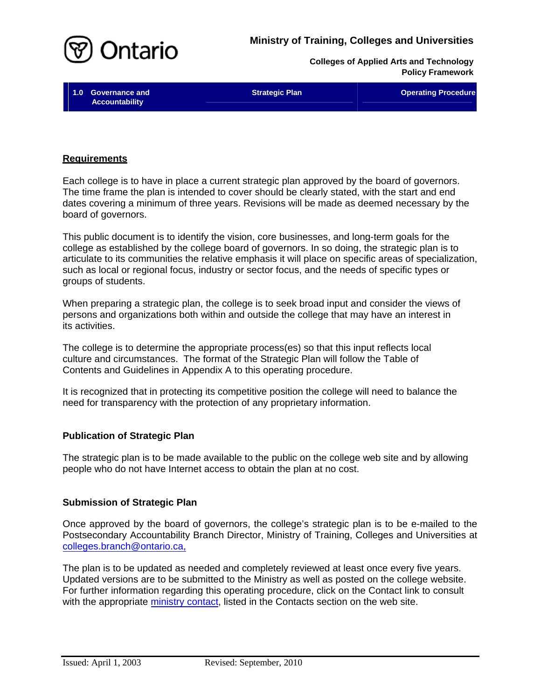



**Accountability** 

**1.0 Governance and Community Community Strategic Plan Community Community Community Community Community Community** 

#### **Requirements**

Each college is to have in place a current strategic plan approved by the board of governors. The time frame the plan is intended to cover should be clearly stated, with the start and end dates covering a minimum of three years. Revisions will be made as deemed necessary by the board of governors.

This public document is to identify the vision, core businesses, and long-term goals for the college as established by the college board of governors. In so doing, the strategic plan is to articulate to its communities the relative emphasis it will place on specific areas of specialization, such as local or regional focus, industry or sector focus, and the needs of specific types or groups of students.

When preparing a strategic plan, the college is to seek broad input and consider the views of persons and organizations both within and outside the college that may have an interest in its activities.

The college is to determine the appropriate process(es) so that this input reflects local culture and circumstances. The format of the Strategic Plan will follow the Table of Contents and Guidelines in Appendix A to this operating procedure.

It is recognized that in protecting its competitive position the college will need to balance the need for transparency with the protection of any proprietary information.

### **Publication of Strategic Plan**

The strategic plan is to be made available to the public on the college web site and by allowing people who do not have Internet access to obtain the plan at no cost.

### **Submission of Strategic Plan**

Once approved by the board of governors, the college's strategic plan is to be e-mailed to the Postsecondary Accountability Branch Director, Ministry of Training, Colleges and Universities at [colleges.branch@ontario.ca,](mailto:colleges.branch@ontario.ca,) 

The plan is to be updated as needed and completely reviewed at least once every five years. Updated versions are to be submitted to the Ministry as well as posted on the college website. For further information regarding this operating procedure, click on the Contact link to consult with the appropriate [ministry contact,](http://caat.edu.gov.on.ca/HTMLpages/Contacts_Eng.html#Strategic_Plan) listed in the Contacts section on the web site.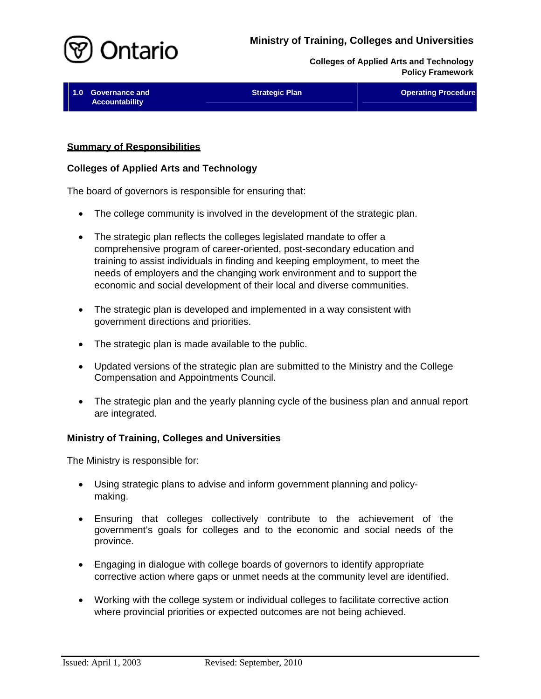

**1.0 Governance and Community Community Strategic Plan Community Community Community Community Community Community Accountability** 

### **Summary of Responsibilities**

### **Colleges of Applied Arts and Technology**

The board of governors is responsible for ensuring that:

- The college community is involved in the development of the strategic plan.
- The strategic plan reflects the colleges legislated mandate to offer a comprehensive program of career-oriented, post-secondary education and training to assist individuals in finding and keeping employment, to meet the needs of employers and the changing work environment and to support the economic and social development of their local and diverse communities.
- The strategic plan is developed and implemented in a way consistent with government directions and priorities.
- The strategic plan is made available to the public.
- Updated versions of the strategic plan are submitted to the Ministry and the College Compensation and Appointments Council.
- The strategic plan and the yearly planning cycle of the business plan and annual report are integrated.

### **Ministry of Training, Colleges and Universities**

The Ministry is responsible for:

- Using strategic plans to advise and inform government planning and policymaking.
- Ensuring that colleges collectively contribute to the achievement of the government's goals for colleges and to the economic and social needs of the province.
- Engaging in dialogue with college boards of governors to identify appropriate corrective action where gaps or unmet needs at the community level are identified.
- Working with the college system or individual colleges to facilitate corrective action where provincial priorities or expected outcomes are not being achieved.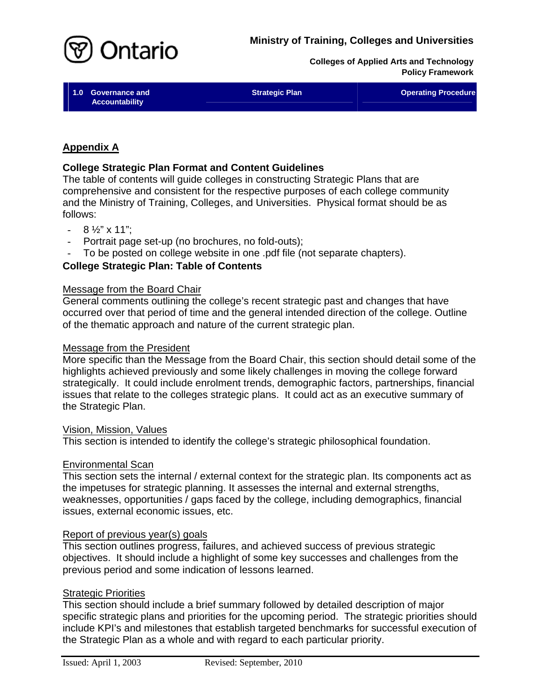

**1.0 Governance and Community Community Strategic Plan Community Community Community Community Community Community Accountability** 

# **Appendix A**

# **College Strategic Plan Format and Content Guidelines**

The table of contents will guide colleges in constructing Strategic Plans that are comprehensive and consistent for the respective purposes of each college community and the Ministry of Training, Colleges, and Universities. Physical format should be as follows:

- $-8\frac{1}{2}$ " x 11":
- Portrait page set-up (no brochures, no fold-outs);
- To be posted on college website in one .pdf file (not separate chapters).

# **College Strategic Plan: Table of Contents**

### Message from the Board Chair

General comments outlining the college's recent strategic past and changes that have occurred over that period of time and the general intended direction of the college. Outline of the thematic approach and nature of the current strategic plan.

### Message from the President

More specific than the Message from the Board Chair, this section should detail some of the highlights achieved previously and some likely challenges in moving the college forward strategically. It could include enrolment trends, demographic factors, partnerships, financial issues that relate to the colleges strategic plans. It could act as an executive summary of the Strategic Plan.

### Vision, Mission, Values

This section is intended to identify the college's strategic philosophical foundation.

### Environmental Scan

This section sets the internal / external context for the strategic plan. Its components act as the impetuses for strategic planning. It assesses the internal and external strengths, weaknesses, opportunities / gaps faced by the college, including demographics, financial issues, external economic issues, etc.

# Report of previous year(s) goals

This section outlines progress, failures, and achieved success of previous strategic objectives. It should include a highlight of some key successes and challenges from the previous period and some indication of lessons learned.

# Strategic Priorities

This section should include a brief summary followed by detailed description of major specific strategic plans and priorities for the upcoming period. The strategic priorities should include KPI's and milestones that establish targeted benchmarks for successful execution of the Strategic Plan as a whole and with regard to each particular priority.